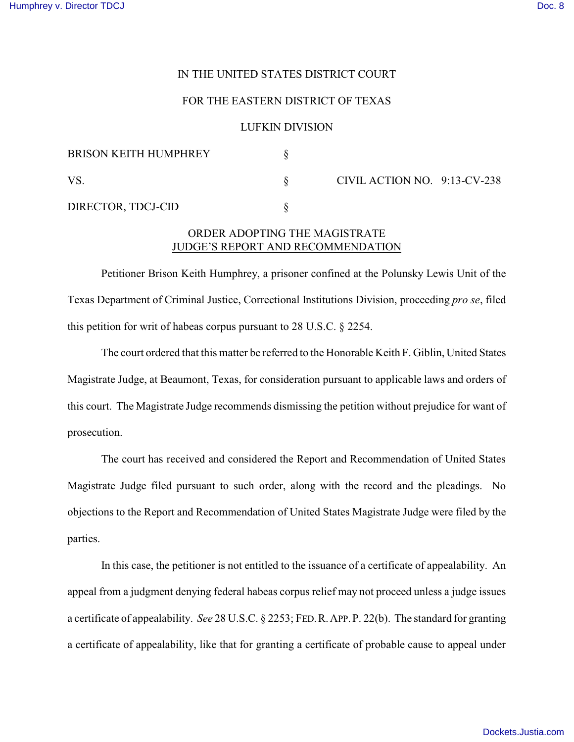## IN THE UNITED STATES DISTRICT COURT

## FOR THE EASTERN DISTRICT OF TEXAS

#### LUFKIN DIVISION

| <b>BRISON KEITH HUMPHREY</b> |                              |  |
|------------------------------|------------------------------|--|
| VS                           | CIVIL ACTION NO. 9:13-CV-238 |  |
| DIRECTOR, TDCJ-CID           |                              |  |

# ORDER ADOPTING THE MAGISTRATE JUDGE'S REPORT AND RECOMMENDATION

Petitioner Brison Keith Humphrey, a prisoner confined at the Polunsky Lewis Unit of the Texas Department of Criminal Justice, Correctional Institutions Division, proceeding *pro se*, filed this petition for writ of habeas corpus pursuant to 28 U.S.C. § 2254.

The court ordered that this matter be referred to the Honorable Keith F. Giblin, United States Magistrate Judge, at Beaumont, Texas, for consideration pursuant to applicable laws and orders of this court. The Magistrate Judge recommends dismissing the petition without prejudice for want of prosecution.

The court has received and considered the Report and Recommendation of United States Magistrate Judge filed pursuant to such order, along with the record and the pleadings. No objections to the Report and Recommendation of United States Magistrate Judge were filed by the parties.

In this case, the petitioner is not entitled to the issuance of a certificate of appealability. An appeal from a judgment denying federal habeas corpus relief may not proceed unless a judge issues a certificate of appealability. *See* 28 U.S.C. § 2253; FED.R.APP.P. 22(b). The standard for granting a certificate of appealability, like that for granting a certificate of probable cause to appeal under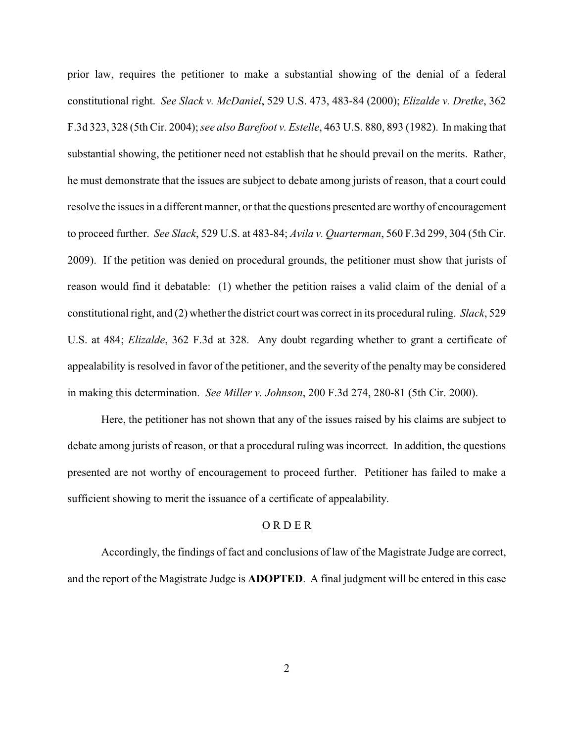prior law, requires the petitioner to make a substantial showing of the denial of a federal constitutional right. *See Slack v. McDaniel*, 529 U.S. 473, 483-84 (2000); *Elizalde v. Dretke*, 362 F.3d 323, 328 (5th Cir. 2004); *see also Barefoot v. Estelle*, 463 U.S. 880, 893 (1982). In making that substantial showing, the petitioner need not establish that he should prevail on the merits. Rather, he must demonstrate that the issues are subject to debate among jurists of reason, that a court could resolve the issues in a different manner, or that the questions presented are worthy of encouragement to proceed further. *See Slack*, 529 U.S. at 483-84; *Avila v. Quarterman*, 560 F.3d 299, 304 (5th Cir. 2009). If the petition was denied on procedural grounds, the petitioner must show that jurists of reason would find it debatable: (1) whether the petition raises a valid claim of the denial of a constitutional right, and (2) whether the district court was correct in its procedural ruling. *Slack*, 529 U.S. at 484; *Elizalde*, 362 F.3d at 328. Any doubt regarding whether to grant a certificate of appealability is resolved in favor of the petitioner, and the severity of the penalty may be considered in making this determination. *See Miller v. Johnson*, 200 F.3d 274, 280-81 (5th Cir. 2000).

Here, the petitioner has not shown that any of the issues raised by his claims are subject to debate among jurists of reason, or that a procedural ruling was incorrect. In addition, the questions presented are not worthy of encouragement to proceed further. Petitioner has failed to make a sufficient showing to merit the issuance of a certificate of appealability.

# O R D E R

Accordingly, the findings of fact and conclusions of law of the Magistrate Judge are correct, and the report of the Magistrate Judge is **ADOPTED**. A final judgment will be entered in this case